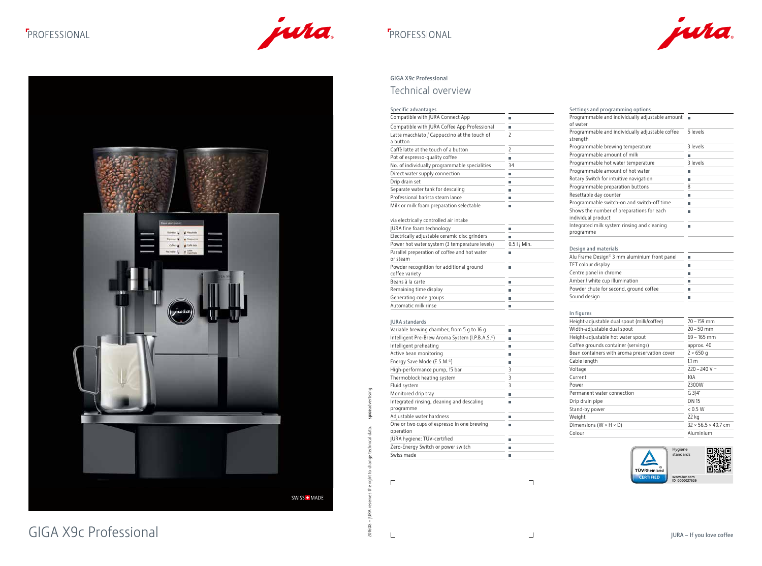## **F**PROFESSIONAL





### GIGA X9c Professional Technical overview

|                                                       | Specific advantages                                          |                | Settings and programming options                                |                                 |
|-------------------------------------------------------|--------------------------------------------------------------|----------------|-----------------------------------------------------------------|---------------------------------|
|                                                       | Compatible with JURA Connect App                             | ш              | Programmable and individually adjustable amount ■               |                                 |
|                                                       | Compatible with JURA Coffee App Professional                 | ш              | of water                                                        |                                 |
|                                                       | Latte macchiato / Cappuccino at the touch of<br>a button     | $\mathsf{S}$   | Programmable and individually adjustable coffee<br>strength     | 5 levels                        |
|                                                       | Caffè latte at the touch of a button                         | $\mathsf{S}$   | Programmable brewing temperature                                | 3 levels                        |
|                                                       | Pot of espresso-quality coffee                               | ш              | Programmable amount of milk                                     |                                 |
|                                                       | No. of individually programmable specialities                | 34             | Programmable hot water temperature                              | 3 levels                        |
|                                                       | Direct water supply connection                               |                | Programmable amount of hot water                                |                                 |
|                                                       | Drip drain set                                               | ш              | Rotary Switch for intuitive navigation                          |                                 |
|                                                       | Separate water tank for descaling                            |                | Programmable preparation buttons                                | 8                               |
|                                                       | Professional barista steam lance                             |                | Resettable day counter                                          |                                 |
|                                                       | Milk or milk foam preparation selectable                     | ш              | Programmable switch-on and switch-off time                      |                                 |
|                                                       | via electrically controlled air intake                       |                | Shows the number of preparations for each<br>individual product |                                 |
| a wed poster                                          | JURA fine foam technology                                    | ш              | Integrated milk system rinsing and cleaning                     |                                 |
|                                                       | Electrically adjustable ceramic disc grinders                | m.             | programme                                                       |                                 |
|                                                       | Power hot water system (3 temperature levels)                | $0.5$ I / Min. |                                                                 |                                 |
| Callé latin<br>Coffeet top<br># Hachen<br>for weer 12 | Parallel preperation of coffee and hot water                 |                | Design and materials                                            |                                 |
|                                                       | or steam                                                     | m.             | Alu Frame Design <sup>®</sup> 3 mm aluminium front panel        | $\sim$                          |
|                                                       | Powder recognition for additional ground                     | ш              | TFT colour display                                              |                                 |
|                                                       | coffee variety                                               |                | Centre panel in chrome                                          |                                 |
|                                                       | Beans à la carte                                             | ш              | Amber / white cup illumination                                  |                                 |
|                                                       | Remaining time display                                       | ш              | Powder chute for second, ground coffee                          |                                 |
|                                                       | Generating code groups                                       | ш              | Sound design                                                    |                                 |
|                                                       | Automatic milk rinse                                         | ш              |                                                                 |                                 |
|                                                       |                                                              |                | In figures                                                      |                                 |
|                                                       | <b>JURA</b> standards                                        |                | Height-adjustable dual spout (milk/coffee)                      | $70 - 159$ mm                   |
|                                                       | Variable brewing chamber, from 5 g to 16 g                   | ш              | Width-adjustable dual spout                                     | $20 - 50$ mm                    |
|                                                       | Intelligent Pre-Brew Aroma System (I.P.B.A.S. <sup>o</sup> ) | $\mathbb{R}^n$ | Height-adjustable hot water spout                               | $69 - 165$ mm                   |
|                                                       | Intelligent preheating                                       | ш              | Coffee grounds container (servings)                             | approx. 40                      |
|                                                       | Active bean monitoring                                       | ш              | Bean containers with aroma preservation cover                   | $2 \times 650$ g                |
|                                                       | Energy Save Mode (E.S.M. <sup>o</sup> )                      | ш              | Cable length                                                    | 1.1 m                           |
|                                                       | High-performance pump, 15 bar                                | 3              | Voltage                                                         | 220 – 240 V $\sim$              |
|                                                       | Thermoblock heating system                                   | 3              | Current                                                         | 10A                             |
|                                                       | Fluid system                                                 | 3              | Power                                                           | 2300W                           |
|                                                       | Monitored drip tray                                          | ш              | Permanent water connection                                      | G 3/4"                          |
|                                                       | Integrated rinsing, cleaning and descaling                   | ш              | Drip drain pipe                                                 | <b>DN 15</b>                    |
|                                                       | programme                                                    |                | Stand-by power                                                  | $< 0.5~\mathrm{W}$              |
|                                                       | Adjustable water hardness                                    | ш              | Weight                                                          | 22 kg                           |
|                                                       | One or two cups of espresso in one brewing                   | m.             | Dimensions ( $W \times H \times D$ )                            | $32 \times 56.5 \times 49.7$ cm |
|                                                       | operation                                                    |                | Colour                                                          | Aluminium                       |
|                                                       | JURA hygiene: TÜV-certified                                  | ш              |                                                                 |                                 |
|                                                       | Zero-Energy Switch or power switch                           | ш              |                                                                 |                                 |
|                                                       | Swiss made                                                   | ш              |                                                                 | Hygiene<br>standards            |
|                                                       | $\Box$                                                       |                | <b>TÜVRheinland</b><br><b>CERTIFIED</b>                         | www.tuv.com<br>ID 0000027526    |
| SWISS + MADE                                          |                                                              |                |                                                                 |                                 |
| <b>GIGA X9c Professional</b>                          | 201608                                                       |                |                                                                 | JURA - If you love coffee       |

| Settings and programming options                                |                                 |
|-----------------------------------------------------------------|---------------------------------|
| Programmable and individually adjustable amount<br>of water     |                                 |
| Programmable and individually adjustable coffee<br>strength     | 5 levels                        |
| Programmable brewing temperature                                | 3 levels                        |
| Programmable amount of milk                                     | П                               |
| Programmable hot water temperature                              | 3 levels                        |
| Programmable amount of hot water                                | П                               |
| Rotary Switch for intuitive navigation                          | I.                              |
| Programmable preparation buttons                                | 8                               |
| Resettable day counter                                          | П                               |
| Programmable switch-on and switch-off time                      | п                               |
| Shows the number of preparations for each<br>individual product | П                               |
| Integrated milk system rinsing and cleaning<br>programme        | П                               |
| Design and materials                                            |                                 |
| Alu Frame Design© 3 mm aluminium front panel                    | L.                              |
| TFT colour display                                              | П                               |
| Centre panel in chrome                                          | L                               |
| Amber / white cup illumination                                  | П                               |
| Powder chute for second, ground coffee                          | П                               |
| Sound design                                                    | П                               |
| In figures                                                      |                                 |
| Height-adjustable dual spout (milk/coffee)                      | 70 - 159 mm                     |
| Width-adjustable dual spout                                     | $20 - 50$ mm                    |
| Height-adjustable hot water spout                               | $69 - 165$ mm                   |
| Coffee grounds container (servings)                             | approx. 40                      |
| Bean containers with aroma preservation cover                   | $2 \times 650$ q                |
| Cable length                                                    | 1.1 <sub>m</sub>                |
| Voltage                                                         | 220 - 240 V ~                   |
| Current                                                         | 10A                             |
| Power                                                           | 2300W                           |
| Permanent water connection                                      | G 3/4"                          |
| Drip drain pipe                                                 | <b>DN 15</b>                    |
| Stand-by power                                                  | < 0.5 W                         |
| Weight                                                          | 22 kg                           |
| Dimensions ( $W \times H \times D$ )                            | $32 \times 56.5 \times 49.7$ cm |
| Colour                                                          | Aluminium                       |
|                                                                 |                                 |

| Shows the number of p              |
|------------------------------------|
| individual product                 |
| Integrated milk system             |
| programme                          |
|                                    |
| Design and materials               |
| Alu Frame Design <sup>®</sup> 3 mi |
| TFT colour display                 |
| Centre panel in chrome             |
| Amber / white cup illum            |
| Powder chute for secon             |
| Sound design                       |
|                                    |
| In figures                         |
| Height-adjustable dual             |
| Width-adjustable dual s            |
| Height-adjustable hot v            |
| Coffee grounds contain             |
| Bean containers with ar            |
| Cable length                       |
| Voltage                            |
| $C$ urront                         |